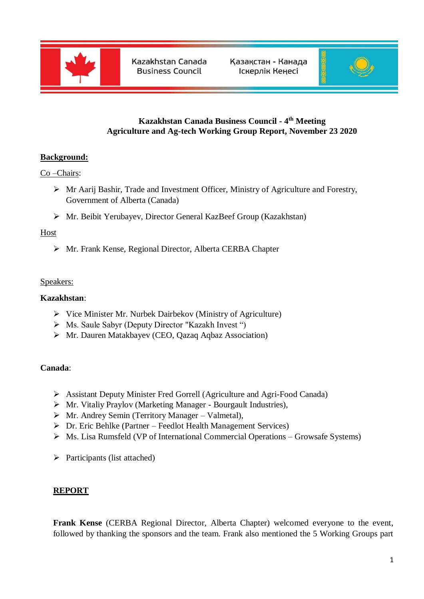



# **Kazakhstan Canada Business Council - 4 th Meeting Agriculture and Ag-tech Working Group Report, November 23 2020**

# **Background:**

Co –Chairs:

- Mr Aarij Bashir, Trade and Investment Officer, Ministry of Agriculture and Forestry, Government of Alberta (Canada)
- Mr. Beibit Yerubayev, Director General KazBeef Group (Kazakhstan)

#### Host

Mr. Frank Kense, Regional Director, Alberta CERBA Chapter

## Speakers:

## **Kazakhstan**:

- $\triangleright$  Vice Minister Mr. Nurbek Dairbekov (Ministry of Agriculture)
- Ms. Saule Sabyr (Deputy Director "Kazakh Invest ")
- Mr. Dauren Matakbayev (CEO, Qazaq Aqbaz Association)

#### **Canada**:

- Assistant Deputy Minister Fred Gorrell (Agriculture and Agri-Food Canada)
- Mr. Vitaliy Praylov (Marketing Manager Bourgault Industries),
- $\triangleright$  Mr. Andrey Semin (Territory Manager Valmetal),
- $\triangleright$  Dr. Eric Behlke (Partner Feedlot Health Management Services)
- Ms. Lisa Rumsfeld (VP of International Commercial Operations Growsafe Systems)
- $\triangleright$  Participants (list attached)

#### **REPORT**

**Frank Kense** (CERBA Regional Director, Alberta Chapter) welcomed everyone to the event, followed by thanking the sponsors and the team. Frank also mentioned the 5 Working Groups part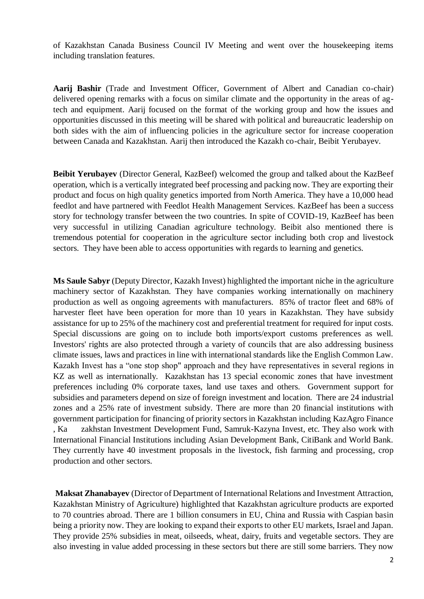of Kazakhstan Canada Business Council IV Meeting and went over the housekeeping items including translation features.

**Aarij Bashir** (Trade and Investment Officer, Government of Albert and Canadian co-chair) delivered opening remarks with a focus on similar climate and the opportunity in the areas of agtech and equipment. Aarij focused on the format of the working group and how the issues and opportunities discussed in this meeting will be shared with political and bureaucratic leadership on both sides with the aim of influencing policies in the agriculture sector for increase cooperation between Canada and Kazakhstan. Aarij then introduced the Kazakh co-chair, Beibit Yerubayev.

**Beibit Yerubayev** (Director General, KazBeef) welcomed the group and talked about the KazBeef operation, which is a vertically integrated beef processing and packing now. They are exporting their product and focus on high quality genetics imported from North America. They have a 10,000 head feedlot and have partnered with Feedlot Health Management Services. KazBeef has been a success story for technology transfer between the two countries. In spite of COVID-19, KazBeef has been very successful in utilizing Canadian agriculture technology. Beibit also mentioned there is tremendous potential for cooperation in the agriculture sector including both crop and livestock sectors. They have been able to access opportunities with regards to learning and genetics.

**Ms Saule Sabyr** (Deputy Director, Kazakh Invest) highlighted the important niche in the agriculture machinery sector of Kazakhstan. They have companies working internationally on machinery production as well as ongoing agreements with manufacturers. 85% of tractor fleet and 68% of harvester fleet have been operation for more than 10 years in Kazakhstan. They have subsidy assistance for up to 25% of the machinery cost and preferential treatment for required for input costs. Special discussions are going on to include both imports/export customs preferences as well. Investors' rights are also protected through a variety of councils that are also addressing business climate issues, laws and practices in line with international standards like the English Common Law. Kazakh Invest has a "one stop shop" approach and they have representatives in several regions in KZ as well as internationally. Kazakhstan has 13 special economic zones that have investment preferences including 0% corporate taxes, land use taxes and others. Government support for subsidies and parameters depend on size of foreign investment and location. There are 24 industrial zones and a 25% rate of investment subsidy. There are more than 20 financial institutions with government participation for financing of priority sectors in Kazakhstan including KazAgro Finance , Ka zakhstan Investment Development Fund, Samruk-Kazyna Invest, etc. They also work with International Financial Institutions including Asian Development Bank, CitiBank and World Bank. They currently have 40 investment proposals in the livestock, fish farming and processing, crop production and other sectors.

**Maksat Zhanabayev** (Director of Department of International Relations and Investment Attraction, Kazakhstan Ministry of Agriculture) highlighted that Kazakhstan agriculture products are exported to 70 countries abroad. There are 1 billion consumers in EU, China and Russia with Caspian basin being a priority now. They are looking to expand their exports to other EU markets, Israel and Japan. They provide 25% subsidies in meat, oilseeds, wheat, dairy, fruits and vegetable sectors. They are also investing in value added processing in these sectors but there are still some barriers. They now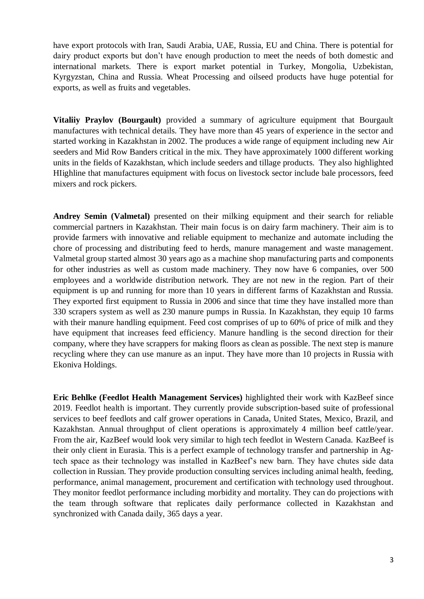have export protocols with Iran, Saudi Arabia, UAE, Russia, EU and China. There is potential for dairy product exports but don't have enough production to meet the needs of both domestic and international markets. There is export market potential in Turkey, Mongolia, Uzbekistan, Kyrgyzstan, China and Russia. Wheat Processing and oilseed products have huge potential for exports, as well as fruits and vegetables.

**Vitaliiy Praylov (Bourgault)** provided a summary of agriculture equipment that Bourgault manufactures with technical details. They have more than 45 years of experience in the sector and started working in Kazakhstan in 2002. The produces a wide range of equipment including new Air seeders and Mid Row Banders critical in the mix. They have approximately 1000 different working units in the fields of Kazakhstan, which include seeders and tillage products. They also highlighted HIighline that manufactures equipment with focus on livestock sector include bale processors, feed mixers and rock pickers.

**Andrey Semin (Valmetal)** presented on their milking equipment and their search for reliable commercial partners in Kazakhstan. Their main focus is on dairy farm machinery. Their aim is to provide farmers with innovative and reliable equipment to mechanize and automate including the chore of processing and distributing feed to herds, manure management and waste management. Valmetal group started almost 30 years ago as a machine shop manufacturing parts and components for other industries as well as custom made machinery. They now have 6 companies, over 500 employees and a worldwide distribution network. They are not new in the region. Part of their equipment is up and running for more than 10 years in different farms of Kazakhstan and Russia. They exported first equipment to Russia in 2006 and since that time they have installed more than 330 scrapers system as well as 230 manure pumps in Russia. In Kazakhstan, they equip 10 farms with their manure handling equipment. Feed cost comprises of up to 60% of price of milk and they have equipment that increases feed efficiency. Manure handling is the second direction for their company, where they have scrappers for making floors as clean as possible. The next step is manure recycling where they can use manure as an input. They have more than 10 projects in Russia with Ekoniva Holdings.

**Eric Behlke (Feedlot Health Management Services)** highlighted their work with KazBeef since 2019. Feedlot health is important. They currently provide subscription-based suite of professional services to beef feedlots and calf grower operations in Canada, United States, Mexico, Brazil, and Kazakhstan. Annual throughput of client operations is approximately 4 million beef cattle/year. From the air, KazBeef would look very similar to high tech feedlot in Western Canada. KazBeef is their only client in Eurasia. This is a perfect example of technology transfer and partnership in Agtech space as their technology was installed in KazBeef's new barn. They have chutes side data collection in Russian. They provide production consulting services including animal health, feeding, performance, animal management, procurement and certification with technology used throughout. They monitor feedlot performance including morbidity and mortality. They can do projections with the team through software that replicates daily performance collected in Kazakhstan and synchronized with Canada daily, 365 days a year.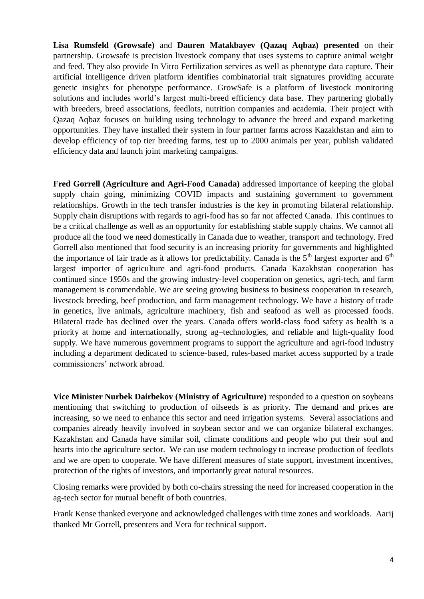**Lisa Rumsfeld (Growsafe)** and **Dauren Matakbayev (Qazaq Aqbaz) presented** on their partnership. Growsafe is precision livestock company that uses systems to capture animal weight and feed. They also provide In Vitro Fertilization services as well as phenotype data capture. Their artificial intelligence driven platform identifies combinatorial trait signatures providing accurate genetic insights for phenotype performance. GrowSafe is a platform of livestock monitoring solutions and includes world's largest multi-breed efficiency data base. They partnering globally with breeders, breed associations, feedlots, nutrition companies and academia. Their project with Qazaq Aqbaz focuses on building using technology to advance the breed and expand marketing opportunities. They have installed their system in four partner farms across Kazakhstan and aim to develop efficiency of top tier breeding farms, test up to 2000 animals per year, publish validated efficiency data and launch joint marketing campaigns.

**Fred Gorrell (Agriculture and Agri-Food Canada)** addressed importance of keeping the global supply chain going, minimizing COVID impacts and sustaining government to government relationships. Growth in the tech transfer industries is the key in promoting bilateral relationship. Supply chain disruptions with regards to agri-food has so far not affected Canada. This continues to be a critical challenge as well as an opportunity for establishing stable supply chains. We cannot all produce all the food we need domestically in Canada due to weather, transport and technology. Fred Gorrell also mentioned that food security is an increasing priority for governments and highlighted the importance of fair trade as it allows for predictability. Canada is the  $5<sup>th</sup>$  largest exporter and  $6<sup>th</sup>$ largest importer of agriculture and agri-food products. Canada Kazakhstan cooperation has continued since 1950s and the growing industry-level cooperation on genetics, agri-tech, and farm management is commendable. We are seeing growing business to business cooperation in research, livestock breeding, beef production, and farm management technology. We have a history of trade in genetics, live animals, agriculture machinery, fish and seafood as well as processed foods. Bilateral trade has declined over the years. Canada offers world-class food safety as health is a priority at home and internationally, strong ag–technologies, and reliable and high-quality food supply. We have numerous government programs to support the agriculture and agri-food industry including a department dedicated to science-based, rules-based market access supported by a trade commissioners' network abroad.

**Vice Minister Nurbek Dairbekov (Ministry of Agriculture)** responded to a question on soybeans mentioning that switching to production of oilseeds is as priority. The demand and prices are increasing, so we need to enhance this sector and need irrigation systems. Several associations and companies already heavily involved in soybean sector and we can organize bilateral exchanges. Kazakhstan and Canada have similar soil, climate conditions and people who put their soul and hearts into the agriculture sector. We can use modern technology to increase production of feedlots and we are open to cooperate. We have different measures of state support, investment incentives, protection of the rights of investors, and importantly great natural resources.

Closing remarks were provided by both co-chairs stressing the need for increased cooperation in the ag-tech sector for mutual benefit of both countries.

Frank Kense thanked everyone and acknowledged challenges with time zones and workloads. Aarij thanked Mr Gorrell, presenters and Vera for technical support.